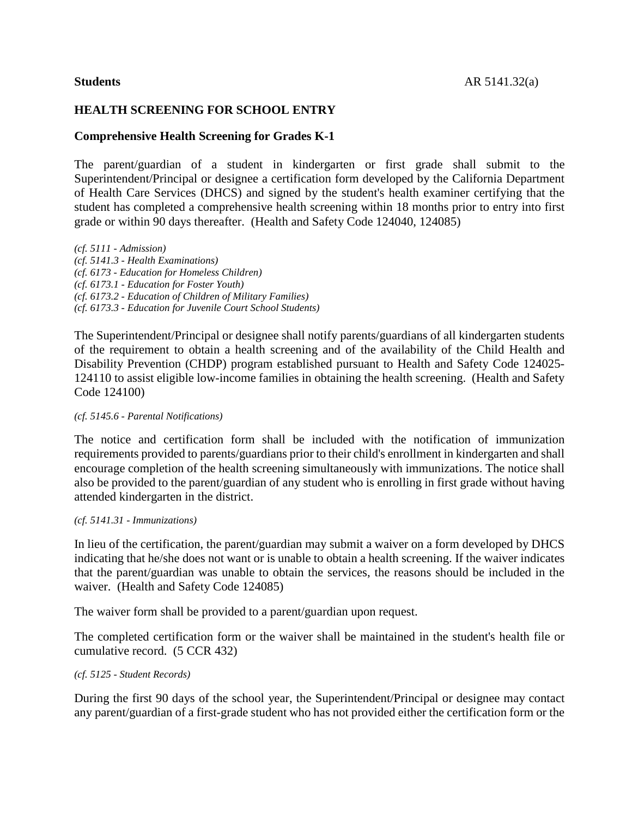# **HEALTH SCREENING FOR SCHOOL ENTRY**

### **Comprehensive Health Screening for Grades K-1**

The parent/guardian of a student in kindergarten or first grade shall submit to the Superintendent/Principal or designee a certification form developed by the California Department of Health Care Services (DHCS) and signed by the student's health examiner certifying that the student has completed a comprehensive health screening within 18 months prior to entry into first grade or within 90 days thereafter. (Health and Safety Code 124040, 124085)

*(cf. 5111 - Admission) (cf. 5141.3 - Health Examinations) (cf. 6173 - Education for Homeless Children) (cf. 6173.1 - Education for Foster Youth) (cf. 6173.2 - Education of Children of Military Families) (cf. 6173.3 - Education for Juvenile Court School Students)*

The Superintendent/Principal or designee shall notify parents/guardians of all kindergarten students of the requirement to obtain a health screening and of the availability of the Child Health and Disability Prevention (CHDP) program established pursuant to Health and Safety Code 124025- 124110 to assist eligible low-income families in obtaining the health screening. (Health and Safety Code 124100)

#### *(cf. 5145.6 - Parental Notifications)*

The notice and certification form shall be included with the notification of immunization requirements provided to parents/guardians prior to their child's enrollment in kindergarten and shall encourage completion of the health screening simultaneously with immunizations. The notice shall also be provided to the parent/guardian of any student who is enrolling in first grade without having attended kindergarten in the district.

#### *(cf. 5141.31 - Immunizations)*

In lieu of the certification, the parent/guardian may submit a waiver on a form developed by DHCS indicating that he/she does not want or is unable to obtain a health screening. If the waiver indicates that the parent/guardian was unable to obtain the services, the reasons should be included in the waiver. (Health and Safety Code 124085)

The waiver form shall be provided to a parent/guardian upon request.

The completed certification form or the waiver shall be maintained in the student's health file or cumulative record. (5 CCR 432)

#### *(cf. 5125 - Student Records)*

During the first 90 days of the school year, the Superintendent/Principal or designee may contact any parent/guardian of a first-grade student who has not provided either the certification form or the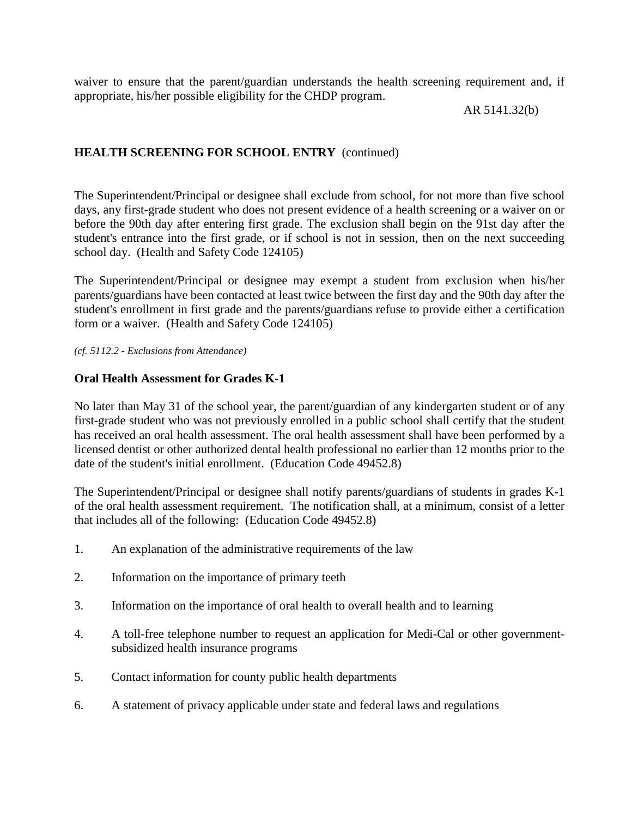waiver to ensure that the parent/guardian understands the health screening requirement and, if appropriate, his/her possible eligibility for the CHDP program.

AR 5141.32(b)

# **HEALTH SCREENING FOR SCHOOL ENTRY** (continued)

The Superintendent/Principal or designee shall exclude from school, for not more than five school days, any first-grade student who does not present evidence of a health screening or a waiver on or before the 90th day after entering first grade. The exclusion shall begin on the 91st day after the student's entrance into the first grade, or if school is not in session, then on the next succeeding school day. (Health and Safety Code 124105)

The Superintendent/Principal or designee may exempt a student from exclusion when his/her parents/guardians have been contacted at least twice between the first day and the 90th day after the student's enrollment in first grade and the parents/guardians refuse to provide either a certification form or a waiver. (Health and Safety Code 124105)

*(cf. 5112.2 - Exclusions from Attendance)*

### **Oral Health Assessment for Grades K-1**

No later than May 31 of the school year, the parent/guardian of any kindergarten student or of any first-grade student who was not previously enrolled in a public school shall certify that the student has received an oral health assessment. The oral health assessment shall have been performed by a licensed dentist or other authorized dental health professional no earlier than 12 months prior to the date of the student's initial enrollment. (Education Code 49452.8)

The Superintendent/Principal or designee shall notify parents/guardians of students in grades K-1 of the oral health assessment requirement. The notification shall, at a minimum, consist of a letter that includes all of the following: (Education Code 49452.8)

- 1. An explanation of the administrative requirements of the law
- 2. Information on the importance of primary teeth
- 3. Information on the importance of oral health to overall health and to learning
- 4. A toll-free telephone number to request an application for Medi-Cal or other governmentsubsidized health insurance programs
- 5. Contact information for county public health departments
- 6. A statement of privacy applicable under state and federal laws and regulations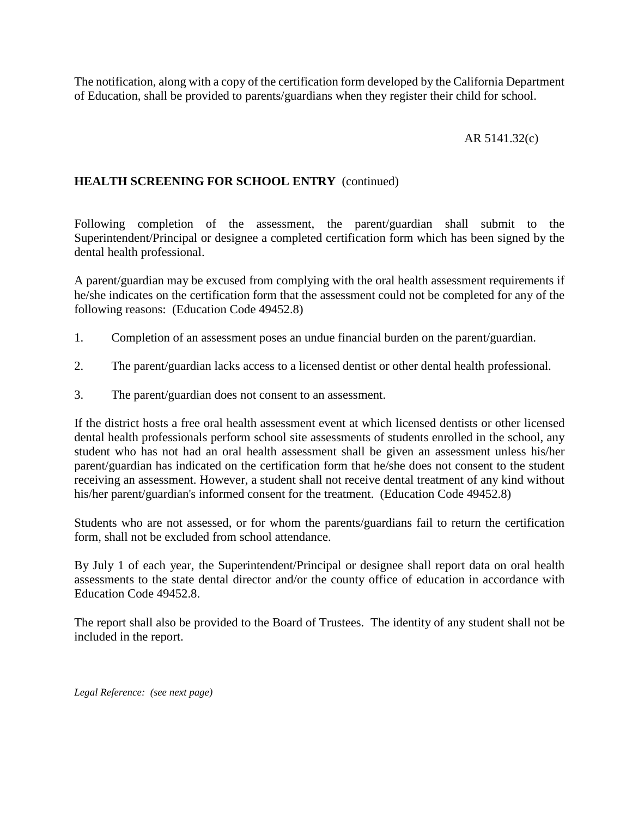The notification, along with a copy of the certification form developed by the California Department of Education, shall be provided to parents/guardians when they register their child for school.

# AR 5141.32(c)

## **HEALTH SCREENING FOR SCHOOL ENTRY** (continued)

Following completion of the assessment, the parent/guardian shall submit to the Superintendent/Principal or designee a completed certification form which has been signed by the dental health professional.

A parent/guardian may be excused from complying with the oral health assessment requirements if he/she indicates on the certification form that the assessment could not be completed for any of the following reasons: (Education Code 49452.8)

- 1. Completion of an assessment poses an undue financial burden on the parent/guardian.
- 2. The parent/guardian lacks access to a licensed dentist or other dental health professional.
- 3. The parent/guardian does not consent to an assessment.

If the district hosts a free oral health assessment event at which licensed dentists or other licensed dental health professionals perform school site assessments of students enrolled in the school, any student who has not had an oral health assessment shall be given an assessment unless his/her parent/guardian has indicated on the certification form that he/she does not consent to the student receiving an assessment. However, a student shall not receive dental treatment of any kind without his/her parent/guardian's informed consent for the treatment. (Education Code 49452.8)

Students who are not assessed, or for whom the parents/guardians fail to return the certification form, shall not be excluded from school attendance.

By July 1 of each year, the Superintendent/Principal or designee shall report data on oral health assessments to the state dental director and/or the county office of education in accordance with Education Code 49452.8.

The report shall also be provided to the Board of Trustees. The identity of any student shall not be included in the report.

*Legal Reference: (see next page)*